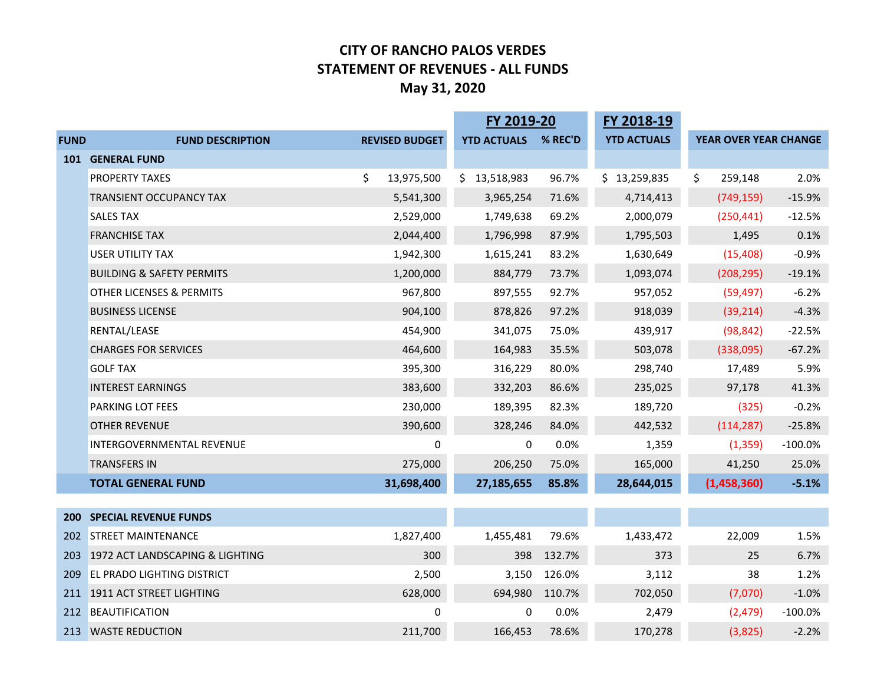#### **CITY OF RANCHO PALOS VERDES STATEMENT OF REVENUES - ALL FUNDS May 31, 2020**

|             |                                      |                       | FY 2019-20         |         | FY 2018-19         |                              |            |
|-------------|--------------------------------------|-----------------------|--------------------|---------|--------------------|------------------------------|------------|
| <b>FUND</b> | <b>FUND DESCRIPTION</b>              | <b>REVISED BUDGET</b> | <b>YTD ACTUALS</b> | % REC'D | <b>YTD ACTUALS</b> | <b>YEAR OVER YEAR CHANGE</b> |            |
|             | 101 GENERAL FUND                     |                       |                    |         |                    |                              |            |
|             | PROPERTY TAXES                       | \$<br>13,975,500      | \$<br>13,518,983   | 96.7%   | \$13,259,835       | \$<br>259,148                | 2.0%       |
|             | TRANSIENT OCCUPANCY TAX              | 5,541,300             | 3,965,254          | 71.6%   | 4,714,413          | (749, 159)                   | $-15.9%$   |
|             | <b>SALES TAX</b>                     | 2,529,000             | 1,749,638          | 69.2%   | 2,000,079          | (250, 441)                   | $-12.5%$   |
|             | <b>FRANCHISE TAX</b>                 | 2,044,400             | 1,796,998          | 87.9%   | 1,795,503          | 1,495                        | 0.1%       |
|             | <b>USER UTILITY TAX</b>              | 1,942,300             | 1,615,241          | 83.2%   | 1,630,649          | (15, 408)                    | $-0.9%$    |
|             | <b>BUILDING &amp; SAFETY PERMITS</b> | 1,200,000             | 884,779            | 73.7%   | 1,093,074          | (208, 295)                   | $-19.1%$   |
|             | <b>OTHER LICENSES &amp; PERMITS</b>  | 967,800               | 897,555            | 92.7%   | 957,052            | (59, 497)                    | $-6.2%$    |
|             | <b>BUSINESS LICENSE</b>              | 904,100               | 878,826            | 97.2%   | 918,039            | (39, 214)                    | $-4.3%$    |
|             | RENTAL/LEASE                         | 454,900               | 341,075            | 75.0%   | 439,917            | (98, 842)                    | $-22.5%$   |
|             | <b>CHARGES FOR SERVICES</b>          | 464,600               | 164,983            | 35.5%   | 503,078            | (338,095)                    | $-67.2%$   |
|             | <b>GOLF TAX</b>                      | 395,300               | 316,229            | 80.0%   | 298,740            | 17,489                       | 5.9%       |
|             | <b>INTEREST EARNINGS</b>             | 383,600               | 332,203            | 86.6%   | 235,025            | 97,178                       | 41.3%      |
|             | PARKING LOT FEES                     | 230,000               | 189,395            | 82.3%   | 189,720            | (325)                        | $-0.2%$    |
|             | <b>OTHER REVENUE</b>                 | 390,600               | 328,246            | 84.0%   | 442,532            | (114, 287)                   | $-25.8%$   |
|             | INTERGOVERNMENTAL REVENUE            | $\Omega$              | 0                  | 0.0%    | 1,359              | (1, 359)                     | $-100.0\%$ |
|             | <b>TRANSFERS IN</b>                  | 275,000               | 206,250            | 75.0%   | 165,000            | 41,250                       | 25.0%      |
|             | <b>TOTAL GENERAL FUND</b>            | 31,698,400            | 27,185,655         | 85.8%   | 28,644,015         | (1,458,360)                  | $-5.1%$    |
|             |                                      |                       |                    |         |                    |                              |            |
|             | <b>200 SPECIAL REVENUE FUNDS</b>     |                       |                    |         |                    |                              |            |
| 202         | <b>STREET MAINTENANCE</b>            | 1,827,400             | 1,455,481          | 79.6%   | 1,433,472          | 22,009                       | 1.5%       |
|             | 203 1972 ACT LANDSCAPING & LIGHTING  | 300                   | 398                | 132.7%  | 373                | 25                           | 6.7%       |
| 209         | <b>EL PRADO LIGHTING DISTRICT</b>    | 2,500                 | 3,150              | 126.0%  | 3,112              | 38                           | 1.2%       |
|             | 211 1911 ACT STREET LIGHTING         | 628,000               | 694,980            | 110.7%  | 702,050            | (7,070)                      | $-1.0%$    |
|             | 212 BEAUTIFICATION                   | $\Omega$              | 0                  | 0.0%    | 2,479              | (2, 479)                     | $-100.0%$  |
|             | 213 WASTE REDUCTION                  | 211,700               | 166,453            | 78.6%   | 170,278            | (3,825)                      | $-2.2%$    |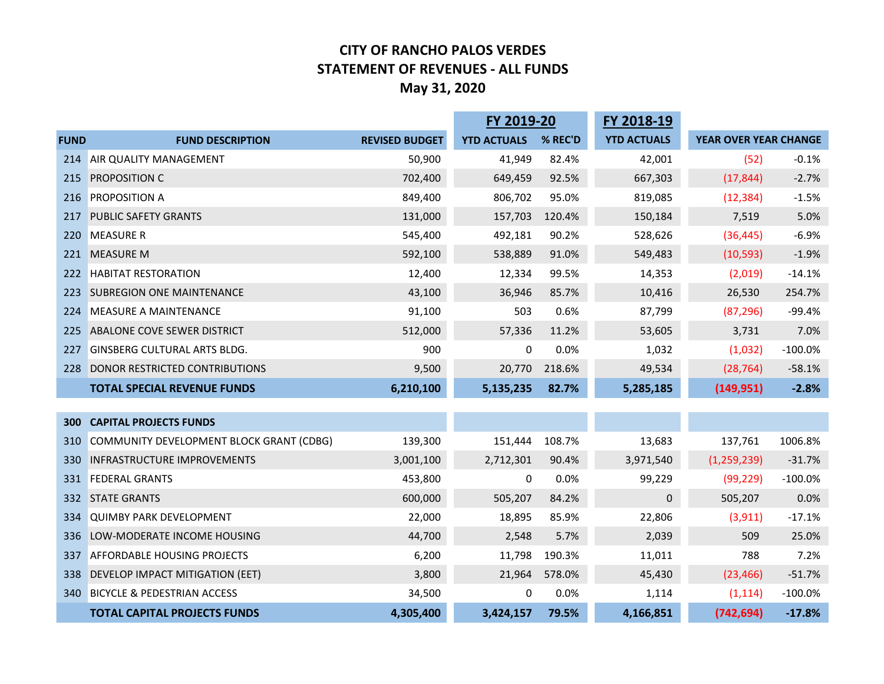#### **CITY OF RANCHO PALOS VERDES STATEMENT OF REVENUES - ALL FUNDS May 31, 2020**

|             |                                          | FY 2019-20            |                    | FY 2018-19 |                    |                       |           |
|-------------|------------------------------------------|-----------------------|--------------------|------------|--------------------|-----------------------|-----------|
| <b>FUND</b> | <b>FUND DESCRIPTION</b>                  | <b>REVISED BUDGET</b> | <b>YTD ACTUALS</b> | % REC'D    | <b>YTD ACTUALS</b> | YEAR OVER YEAR CHANGE |           |
| 214         | <b>AIR QUALITY MANAGEMENT</b>            | 50,900                | 41,949             | 82.4%      | 42,001             | (52)                  | $-0.1%$   |
| 215         | PROPOSITION C                            | 702,400               | 649,459            | 92.5%      | 667,303            | (17, 844)             | $-2.7%$   |
| 216         | <b>PROPOSITION A</b>                     | 849,400               | 806,702            | 95.0%      | 819,085            | (12, 384)             | $-1.5%$   |
| 217         | <b>PUBLIC SAFETY GRANTS</b>              | 131,000               | 157,703            | 120.4%     | 150,184            | 7,519                 | 5.0%      |
| 220         | <b>MEASURE R</b>                         | 545,400               | 492,181            | 90.2%      | 528,626            | (36, 445)             | $-6.9%$   |
| 221         | <b>MEASURE M</b>                         | 592,100               | 538,889            | 91.0%      | 549,483            | (10, 593)             | $-1.9%$   |
| 222         | <b>HABITAT RESTORATION</b>               | 12,400                | 12,334             | 99.5%      | 14,353             | (2,019)               | $-14.1%$  |
| 223         | <b>SUBREGION ONE MAINTENANCE</b>         | 43,100                | 36,946             | 85.7%      | 10,416             | 26,530                | 254.7%    |
| 224         | <b>MEASURE A MAINTENANCE</b>             | 91,100                | 503                | 0.6%       | 87,799             | (87, 296)             | $-99.4%$  |
| 225         | ABALONE COVE SEWER DISTRICT              | 512,000               | 57,336             | 11.2%      | 53,605             | 3,731                 | 7.0%      |
| 227         | <b>GINSBERG CULTURAL ARTS BLDG.</b>      | 900                   | 0                  | 0.0%       | 1,032              | (1,032)               | $-100.0%$ |
| 228         | DONOR RESTRICTED CONTRIBUTIONS           | 9,500                 | 20,770             | 218.6%     | 49,534             | (28, 764)             | $-58.1%$  |
|             | <b>TOTAL SPECIAL REVENUE FUNDS</b>       | 6,210,100             | 5,135,235          | 82.7%      | 5,285,185          | (149, 951)            | $-2.8%$   |
|             |                                          |                       |                    |            |                    |                       |           |
| 300         | <b>CAPITAL PROJECTS FUNDS</b>            |                       |                    |            |                    |                       |           |
| 310         | COMMUNITY DEVELOPMENT BLOCK GRANT (CDBG) | 139,300               | 151,444            | 108.7%     | 13,683             | 137,761               | 1006.8%   |
| 330         | <b>INFRASTRUCTURE IMPROVEMENTS</b>       | 3,001,100             | 2,712,301          | 90.4%      | 3,971,540          | (1, 259, 239)         | $-31.7%$  |
| 331         | <b>FEDERAL GRANTS</b>                    | 453,800               | 0                  | 0.0%       | 99,229             | (99, 229)             | $-100.0%$ |
| 332         | <b>STATE GRANTS</b>                      | 600,000               | 505,207            | 84.2%      | $\boldsymbol{0}$   | 505,207               | 0.0%      |
| 334         | <b>QUIMBY PARK DEVELOPMENT</b>           | 22,000                | 18,895             | 85.9%      | 22,806             | (3, 911)              | $-17.1%$  |
| 336         | LOW-MODERATE INCOME HOUSING              | 44,700                | 2,548              | 5.7%       | 2,039              | 509                   | 25.0%     |
| 337         | <b>AFFORDABLE HOUSING PROJECTS</b>       | 6,200                 | 11,798             | 190.3%     | 11,011             | 788                   | 7.2%      |
| 338         | DEVELOP IMPACT MITIGATION (EET)          | 3,800                 | 21,964             | 578.0%     | 45,430             | (23, 466)             | $-51.7%$  |
|             | 340 BICYCLE & PEDESTRIAN ACCESS          | 34,500                | 0                  | 0.0%       | 1,114              | (1, 114)              | $-100.0%$ |
|             | <b>TOTAL CAPITAL PROJECTS FUNDS</b>      | 4,305,400             | 3,424,157          | 79.5%      | 4,166,851          | (742, 694)            | $-17.8%$  |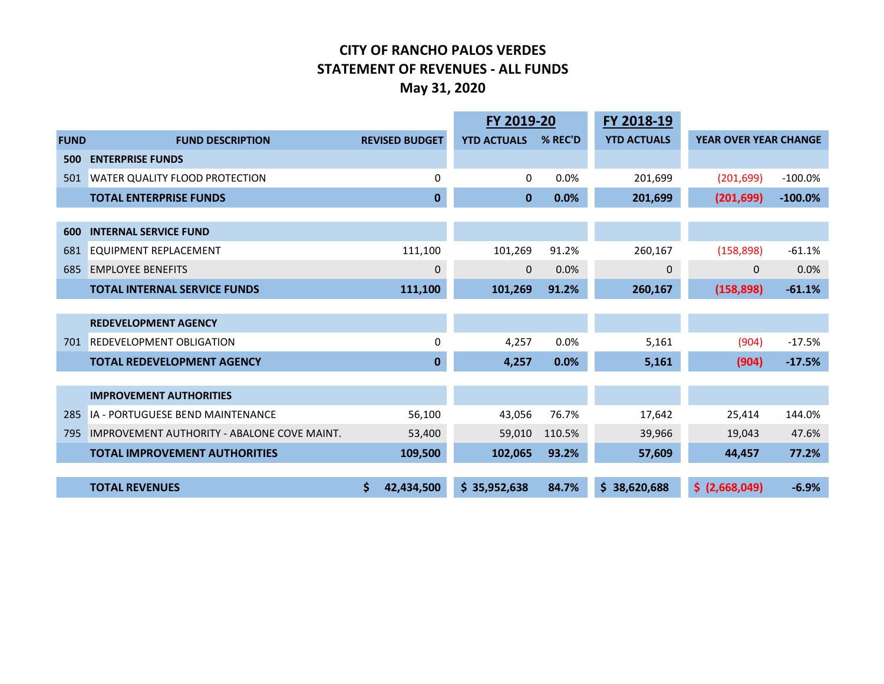#### **CITY OF RANCHO PALOS VERDES STATEMENT OF REVENUES - ALL FUNDS May 31, 2020**

|             |                                                    |   |                       | FY 2019-20         |         | FY 2018-19         |                              |           |
|-------------|----------------------------------------------------|---|-----------------------|--------------------|---------|--------------------|------------------------------|-----------|
| <b>FUND</b> | <b>FUND DESCRIPTION</b>                            |   | <b>REVISED BUDGET</b> | <b>YTD ACTUALS</b> | % REC'D | <b>YTD ACTUALS</b> | <b>YEAR OVER YEAR CHANGE</b> |           |
| 500         | <b>ENTERPRISE FUNDS</b>                            |   |                       |                    |         |                    |                              |           |
| 501         | <b>WATER QUALITY FLOOD PROTECTION</b>              |   | $\Omega$              | 0                  | 0.0%    | 201,699            | (201, 699)                   | $-100.0%$ |
|             | <b>TOTAL ENTERPRISE FUNDS</b>                      |   | $\mathbf 0$           | $\mathbf{0}$       | 0.0%    | 201,699            | (201, 699)                   | $-100.0%$ |
|             |                                                    |   |                       |                    |         |                    |                              |           |
| 600         | <b>INTERNAL SERVICE FUND</b>                       |   |                       |                    |         |                    |                              |           |
| 681         | EQUIPMENT REPLACEMENT                              |   | 111,100               | 101,269            | 91.2%   | 260,167            | (158, 898)                   | $-61.1%$  |
| 685         | <b>EMPLOYEE BENEFITS</b>                           |   | $\mathbf{0}$          | $\mathbf{0}$       | 0.0%    | $\mathbf 0$        | $\mathbf 0$                  | 0.0%      |
|             | <b>TOTAL INTERNAL SERVICE FUNDS</b>                |   | 111,100               | 101,269            | 91.2%   | 260,167            | (158, 898)                   | $-61.1%$  |
|             |                                                    |   |                       |                    |         |                    |                              |           |
|             | <b>REDEVELOPMENT AGENCY</b>                        |   |                       |                    |         |                    |                              |           |
| 701         | <b>REDEVELOPMENT OBLIGATION</b>                    |   | 0                     | 4,257              | 0.0%    | 5,161              | (904)                        | $-17.5%$  |
|             | <b>TOTAL REDEVELOPMENT AGENCY</b>                  |   | $\mathbf 0$           | 4,257              | 0.0%    | 5,161              | (904)                        | $-17.5%$  |
|             |                                                    |   |                       |                    |         |                    |                              |           |
|             | <b>IMPROVEMENT AUTHORITIES</b>                     |   |                       |                    |         |                    |                              |           |
| 285         | IA - PORTUGUESE BEND MAINTENANCE                   |   | 56,100                | 43,056             | 76.7%   | 17,642             | 25,414                       | 144.0%    |
| 795         | <b>IMPROVEMENT AUTHORITY - ABALONE COVE MAINT.</b> |   | 53,400                | 59,010             | 110.5%  | 39,966             | 19,043                       | 47.6%     |
|             | <b>TOTAL IMPROVEMENT AUTHORITIES</b>               |   | 109,500               | 102,065            | 93.2%   | 57,609             | 44,457                       | 77.2%     |
|             |                                                    |   |                       |                    |         |                    |                              |           |
|             | <b>TOTAL REVENUES</b>                              | Ś | 42,434,500            | \$35,952,638       | 84.7%   | \$38,620,688       | \$ (2,668,049)               | $-6.9%$   |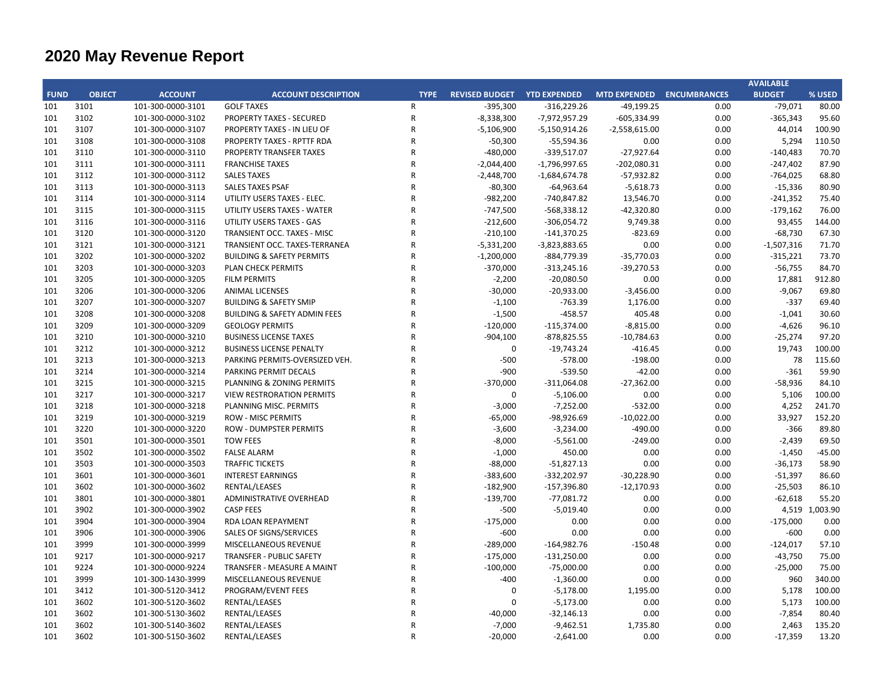|             |               |                   |                                         |              |                                    |                 |                                  |      | <b>AVAILABLE</b> |                |
|-------------|---------------|-------------------|-----------------------------------------|--------------|------------------------------------|-----------------|----------------------------------|------|------------------|----------------|
| <b>FUND</b> | <b>OBJECT</b> | <b>ACCOUNT</b>    | <b>ACCOUNT DESCRIPTION</b>              | <b>TYPE</b>  | <b>REVISED BUDGET YTD EXPENDED</b> |                 | <b>MTD EXPENDED ENCUMBRANCES</b> |      | <b>BUDGET</b>    | % USED         |
| 101         | 3101          | 101-300-0000-3101 | <b>GOLF TAXES</b>                       | $\mathsf{R}$ | $-395,300$                         | $-316,229.26$   | $-49,199.25$                     | 0.00 | $-79,071$        | 80.00          |
| 101         | 3102          | 101-300-0000-3102 | PROPERTY TAXES - SECURED                | ${\sf R}$    | $-8,338,300$                       | -7,972,957.29   | $-605,334.99$                    | 0.00 | $-365,343$       | 95.60          |
| 101         | 3107          | 101-300-0000-3107 | PROPERTY TAXES - IN LIEU OF             | $\mathsf{R}$ | $-5,106,900$                       | $-5,150,914.26$ | $-2,558,615.00$                  | 0.00 | 44,014           | 100.90         |
| 101         | 3108          | 101-300-0000-3108 | <b>PROPERTY TAXES - RPTTF RDA</b>       | $\mathsf R$  | $-50,300$                          | $-55,594.36$    | 0.00                             | 0.00 | 5,294            | 110.50         |
| 101         | 3110          | 101-300-0000-3110 | <b>PROPERTY TRANSFER TAXES</b>          | $\mathsf{R}$ | $-480,000$                         | $-339,517.07$   | $-27,927.64$                     | 0.00 | $-140,483$       | 70.70          |
| 101         | 3111          | 101-300-0000-3111 | <b>FRANCHISE TAXES</b>                  | $\mathsf R$  | $-2,044,400$                       | $-1,796,997.65$ | $-202,080.31$                    | 0.00 | $-247,402$       | 87.90          |
| 101         | 3112          | 101-300-0000-3112 | <b>SALES TAXES</b>                      | $\mathsf{R}$ | $-2,448,700$                       | $-1,684,674.78$ | $-57,932.82$                     | 0.00 | $-764,025$       | 68.80          |
| 101         | 3113          | 101-300-0000-3113 | <b>SALES TAXES PSAF</b>                 | $\mathsf R$  | $-80,300$                          | $-64,963.64$    | $-5,618.73$                      | 0.00 | $-15,336$        | 80.90          |
| 101         | 3114          | 101-300-0000-3114 | UTILITY USERS TAXES - ELEC.             | $\mathsf{R}$ | $-982,200$                         | -740,847.82     | 13,546.70                        | 0.00 | $-241,352$       | 75.40          |
| 101         | 3115          | 101-300-0000-3115 | UTILITY USERS TAXES - WATER             | $\mathsf R$  | $-747,500$                         | $-568,338.12$   | $-42,320.80$                     | 0.00 | $-179,162$       | 76.00          |
| 101         | 3116          | 101-300-0000-3116 | UTILITY USERS TAXES - GAS               | $\mathsf{R}$ | $-212,600$                         | $-306,054.72$   | 9,749.38                         | 0.00 | 93,455           | 144.00         |
| 101         | 3120          | 101-300-0000-3120 | TRANSIENT OCC. TAXES - MISC             | $\mathsf{R}$ | $-210,100$                         | $-141,370.25$   | $-823.69$                        | 0.00 | $-68,730$        | 67.30          |
| 101         | 3121          | 101-300-0000-3121 | TRANSIENT OCC. TAXES-TERRANEA           | $\mathsf{R}$ | $-5,331,200$                       | $-3,823,883.65$ | 0.00                             | 0.00 | $-1,507,316$     | 71.70          |
| 101         | 3202          | 101-300-0000-3202 | <b>BUILDING &amp; SAFETY PERMITS</b>    | $\mathsf R$  | $-1,200,000$                       | -884,779.39     | $-35,770.03$                     | 0.00 | $-315,221$       | 73.70          |
| 101         | 3203          | 101-300-0000-3203 | PLAN CHECK PERMITS                      | $\mathsf R$  | $-370,000$                         | $-313,245.16$   | $-39,270.53$                     | 0.00 | $-56,755$        | 84.70          |
| 101         | 3205          | 101-300-0000-3205 | <b>FILM PERMITS</b>                     | $\mathsf{R}$ | $-2,200$                           | $-20,080.50$    | 0.00                             | 0.00 | 17,881           | 912.80         |
| 101         | 3206          | 101-300-0000-3206 | <b>ANIMAL LICENSES</b>                  | $\mathsf{R}$ | $-30,000$                          | $-20,933.00$    | $-3,456.00$                      | 0.00 | $-9,067$         | 69.80          |
| 101         | 3207          | 101-300-0000-3207 | <b>BUILDING &amp; SAFETY SMIP</b>       | $\mathsf{R}$ | $-1,100$                           | $-763.39$       | 1,176.00                         | 0.00 | $-337$           | 69.40          |
| 101         | 3208          | 101-300-0000-3208 | <b>BUILDING &amp; SAFETY ADMIN FEES</b> | $\mathsf{R}$ | $-1,500$                           | $-458.57$       | 405.48                           | 0.00 | $-1,041$         | 30.60          |
| 101         | 3209          | 101-300-0000-3209 | <b>GEOLOGY PERMITS</b>                  | $\mathsf{R}$ | $-120,000$                         | $-115,374.00$   | $-8,815.00$                      | 0.00 | $-4,626$         | 96.10          |
| 101         | 3210          | 101-300-0000-3210 | <b>BUSINESS LICENSE TAXES</b>           | $\mathsf R$  | $-904,100$                         | $-878,825.55$   | $-10,784.63$                     | 0.00 | $-25,274$        | 97.20          |
| 101         | 3212          | 101-300-0000-3212 | <b>BUSINESS LICENSE PENALTY</b>         | $\mathsf{R}$ | $\mathbf 0$                        | $-19,743.24$    | $-416.45$                        | 0.00 | 19,743           | 100.00         |
| 101         | 3213          | 101-300-0000-3213 | PARKING PERMITS-OVERSIZED VEH.          | $\mathsf R$  | -500                               | $-578.00$       | $-198.00$                        | 0.00 | 78               | 115.60         |
| 101         | 3214          | 101-300-0000-3214 | PARKING PERMIT DECALS                   | $\mathsf{R}$ | -900                               | $-539.50$       | $-42.00$                         | 0.00 | $-361$           | 59.90          |
| 101         | 3215          | 101-300-0000-3215 | PLANNING & ZONING PERMITS               | $\mathsf R$  | $-370,000$                         | $-311,064.08$   | $-27,362.00$                     | 0.00 | $-58,936$        | 84.10          |
| 101         | 3217          | 101-300-0000-3217 | <b>VIEW RESTRORATION PERMITS</b>        | $\mathsf{R}$ | $\Omega$                           | $-5,106.00$     | 0.00                             | 0.00 | 5,106            | 100.00         |
| 101         | 3218          | 101-300-0000-3218 | PLANNING MISC. PERMITS                  | $\mathsf{R}$ | $-3,000$                           | $-7,252.00$     | $-532.00$                        | 0.00 | 4,252            | 241.70         |
| 101         | 3219          | 101-300-0000-3219 | <b>ROW - MISC PERMITS</b>               | $\mathsf{R}$ | $-65,000$                          | -98,926.69      | $-10,022.00$                     | 0.00 | 33,927           | 152.20         |
| 101         | 3220          | 101-300-0000-3220 | <b>ROW - DUMPSTER PERMITS</b>           | $\mathsf{R}$ | $-3,600$                           | $-3,234.00$     | $-490.00$                        | 0.00 | $-366$           | 89.80          |
| 101         | 3501          | 101-300-0000-3501 | <b>TOW FEES</b>                         | $\mathsf{R}$ | $-8,000$                           | $-5,561.00$     | $-249.00$                        | 0.00 | $-2,439$         | 69.50          |
| 101         | 3502          | 101-300-0000-3502 | <b>FALSE ALARM</b>                      | $\mathsf{R}$ | $-1,000$                           | 450.00          | 0.00                             | 0.00 | $-1,450$         | $-45.00$       |
| 101         | 3503          | 101-300-0000-3503 | <b>TRAFFIC TICKETS</b>                  | $\mathsf{R}$ | $-88,000$                          | $-51,827.13$    | 0.00                             | 0.00 | $-36,173$        | 58.90          |
| 101         | 3601          | 101-300-0000-3601 | <b>INTEREST EARNINGS</b>                | $\mathsf{R}$ | $-383,600$                         | $-332,202.97$   | $-30,228.90$                     | 0.00 | $-51,397$        | 86.60          |
| 101         | 3602          | 101-300-0000-3602 | RENTAL/LEASES                           | $\mathsf{R}$ | $-182,900$                         | $-157,396.80$   | $-12,170.93$                     | 0.00 | $-25,503$        | 86.10          |
| 101         | 3801          | 101-300-0000-3801 | ADMINISTRATIVE OVERHEAD                 | $\mathsf{R}$ | $-139,700$                         | $-77,081.72$    | 0.00                             | 0.00 | $-62,618$        | 55.20          |
| 101         | 3902          | 101-300-0000-3902 | <b>CASP FEES</b>                        | $\mathsf R$  | -500                               | $-5,019.40$     | 0.00                             | 0.00 |                  | 4,519 1,003.90 |
| 101         | 3904          | 101-300-0000-3904 | RDA LOAN REPAYMENT                      | $\mathsf R$  | $-175,000$                         | 0.00            | 0.00                             | 0.00 | $-175,000$       | 0.00           |
| 101         | 3906          | 101-300-0000-3906 | SALES OF SIGNS/SERVICES                 | $\mathsf R$  | $-600$                             | 0.00            | 0.00                             | 0.00 | $-600$           | 0.00           |
| 101         | 3999          | 101-300-0000-3999 | MISCELLANEOUS REVENUE                   | $\mathsf{R}$ | $-289,000$                         | $-164,982.76$   | $-150.48$                        | 0.00 | $-124,017$       | 57.10          |
| 101         | 9217          | 101-300-0000-9217 | TRANSFER - PUBLIC SAFETY                | $\mathsf{R}$ | $-175,000$                         | $-131,250.00$   | 0.00                             | 0.00 | $-43,750$        | 75.00          |
| 101         | 9224          | 101-300-0000-9224 | TRANSFER - MEASURE A MAINT              | $\mathsf{R}$ | $-100,000$                         | $-75,000.00$    | 0.00                             | 0.00 | $-25,000$        | 75.00          |
| 101         | 3999          | 101-300-1430-3999 | MISCELLANEOUS REVENUE                   | $\mathsf{R}$ | $-400$                             | $-1,360.00$     | 0.00                             | 0.00 | 960              | 340.00         |
| 101         | 3412          | 101-300-5120-3412 | PROGRAM/EVENT FEES                      | $\mathsf{R}$ | $\Omega$                           | $-5,178.00$     | 1,195.00                         | 0.00 | 5,178            | 100.00         |
| 101         | 3602          | 101-300-5120-3602 | RENTAL/LEASES                           | $\mathsf{R}$ | $\Omega$                           | $-5,173.00$     | 0.00                             | 0.00 | 5,173            | 100.00         |
| 101         | 3602          | 101-300-5130-3602 | RENTAL/LEASES                           | $\mathsf{R}$ | $-40,000$                          | $-32,146.13$    | 0.00                             | 0.00 | $-7,854$         | 80.40          |
| 101         | 3602          | 101-300-5140-3602 | RENTAL/LEASES                           | $\mathsf{R}$ | $-7,000$                           | $-9,462.51$     | 1,735.80                         | 0.00 | 2,463            | 135.20         |
| 101         | 3602          | 101-300-5150-3602 | RENTAL/LEASES                           | $\mathsf{R}$ | $-20,000$                          | $-2,641.00$     | 0.00                             | 0.00 | $-17,359$        | 13.20          |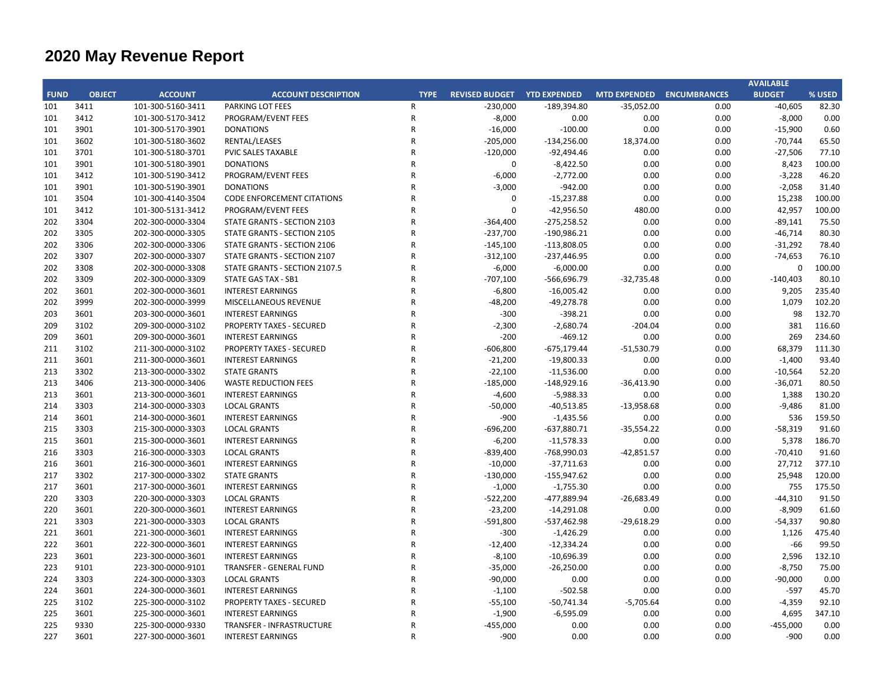|             |               |                   |                                                             |                |                                    |               |              |                                  | <b>AVAILABLE</b> |                |
|-------------|---------------|-------------------|-------------------------------------------------------------|----------------|------------------------------------|---------------|--------------|----------------------------------|------------------|----------------|
| <b>FUND</b> | <b>OBJECT</b> | <b>ACCOUNT</b>    | <b>ACCOUNT DESCRIPTION</b>                                  | <b>TYPE</b>    | <b>REVISED BUDGET YTD EXPENDED</b> |               |              | <b>MTD EXPENDED ENCUMBRANCES</b> | <b>BUDGET</b>    | % USED         |
| 101         | 3411          | 101-300-5160-3411 | PARKING LOT FEES                                            | $\mathsf{R}$   | $-230,000$                         | $-189,394.80$ | $-35,052.00$ | 0.00                             | $-40,605$        | 82.30          |
| 101         | 3412          | 101-300-5170-3412 | PROGRAM/EVENT FEES                                          | $\mathsf{R}$   | $-8,000$                           | 0.00          | 0.00         | 0.00                             | $-8,000$         | 0.00           |
| 101         | 3901          | 101-300-5170-3901 | <b>DONATIONS</b>                                            | $\mathsf{R}$   | $-16,000$                          | $-100.00$     | 0.00         | 0.00                             | $-15,900$        | 0.60           |
| 101         | 3602          | 101-300-5180-3602 | RENTAL/LEASES                                               | $\mathsf{R}$   | $-205,000$                         | $-134,256.00$ | 18,374.00    | 0.00                             | $-70,744$        | 65.50          |
| 101         | 3701          | 101-300-5180-3701 | PVIC SALES TAXABLE                                          | $\mathsf{R}$   | $-120,000$                         | $-92,494.46$  | 0.00         | 0.00                             | $-27,506$        | 77.10          |
| 101         | 3901          | 101-300-5180-3901 | <b>DONATIONS</b>                                            | ${\sf R}$      | $\Omega$                           | $-8,422.50$   | 0.00         | 0.00                             | 8,423            | 100.00         |
| 101         | 3412          | 101-300-5190-3412 | PROGRAM/EVENT FEES                                          | $\mathsf{R}$   | $-6,000$                           | $-2,772.00$   | 0.00         | 0.00                             | $-3,228$         | 46.20          |
| 101         | 3901          | 101-300-5190-3901 | <b>DONATIONS</b>                                            | $\overline{R}$ | $-3,000$                           | $-942.00$     | 0.00         | 0.00                             | $-2,058$         | 31.40          |
| 101         | 3504          | 101-300-4140-3504 | <b>CODE ENFORCEMENT CITATIONS</b>                           | $\overline{R}$ | 0                                  | $-15,237.88$  | 0.00         | 0.00                             | 15,238           | 100.00         |
| 101         | 3412          | 101-300-5131-3412 | PROGRAM/EVENT FEES                                          | $\overline{R}$ | $\mathbf 0$                        | $-42,956.50$  | 480.00       | 0.00                             | 42,957           | 100.00         |
| 202         | 3304          | 202-300-0000-3304 | STATE GRANTS - SECTION 2103                                 | $\overline{R}$ | $-364,400$                         | $-275,258.52$ | 0.00         | 0.00                             | $-89,141$        | 75.50          |
| 202         | 3305          | 202-300-0000-3305 | STATE GRANTS - SECTION 2105                                 | $\mathsf R$    | $-237,700$                         | $-190,986.21$ | 0.00         | 0.00                             | $-46,714$        | 80.30          |
| 202         | 3306          | 202-300-0000-3306 | STATE GRANTS - SECTION 2106                                 | $\mathsf R$    | $-145,100$                         | $-113,808.05$ | 0.00         | 0.00                             | $-31,292$        | 78.40          |
| 202         | 3307          | 202-300-0000-3307 | STATE GRANTS - SECTION 2107                                 | $\mathsf{R}$   | $-312,100$                         | $-237,446.95$ | 0.00         | 0.00                             | $-74,653$        | 76.10          |
| 202         | 3308          | 202-300-0000-3308 | STATE GRANTS - SECTION 2107.5                               | $\mathsf{R}$   | $-6,000$                           | $-6,000.00$   | 0.00         | 0.00                             | $\mathbf 0$      | 100.00         |
| 202         | 3309          | 202-300-0000-3309 | <b>STATE GAS TAX - SB1</b>                                  | $\overline{R}$ | $-707,100$                         | $-566,696.79$ | $-32,735.48$ | 0.00                             | $-140,403$       | 80.10          |
| 202         | 3601          | 202-300-0000-3601 | <b>INTEREST EARNINGS</b>                                    | $\overline{R}$ | $-6,800$                           | $-16,005.42$  | 0.00         | 0.00                             | 9,205            | 235.40         |
| 202         | 3999          | 202-300-0000-3999 | MISCELLANEOUS REVENUE                                       | $\overline{R}$ | $-48,200$                          | $-49,278.78$  | 0.00         | 0.00                             | 1,079            | 102.20         |
| 203         | 3601          | 203-300-0000-3601 | <b>INTEREST EARNINGS</b>                                    | $\overline{R}$ | $-300$                             | $-398.21$     | 0.00         | 0.00                             | 98               | 132.70         |
| 209         | 3102          | 209-300-0000-3102 | <b>PROPERTY TAXES - SECURED</b>                             | $\overline{R}$ | $-2,300$                           | $-2,680.74$   | $-204.04$    | 0.00                             | 381              | 116.60         |
| 209         | 3601          | 209-300-0000-3601 | <b>INTEREST EARNINGS</b>                                    | $\overline{R}$ | $-200$                             | $-469.12$     | 0.00         | 0.00                             | 269              | 234.60         |
| 211         | 3102          | 211-300-0000-3102 | <b>PROPERTY TAXES - SECURED</b>                             | $\overline{R}$ | $-606,800$                         | $-675,179.44$ | $-51,530.79$ | 0.00                             | 68,379           | 111.30         |
| 211         | 3601          | 211-300-0000-3601 | <b>INTEREST EARNINGS</b>                                    | $\overline{R}$ | $-21,200$                          | $-19,800.33$  | 0.00         | 0.00                             | $-1,400$         | 93.40          |
| 213         | 3302          | 213-300-0000-3302 | <b>STATE GRANTS</b>                                         | $\mathsf{R}$   | $-22,100$                          | $-11,536.00$  | 0.00         | 0.00                             | $-10,564$        | 52.20          |
| 213         | 3406          | 213-300-0000-3406 | <b>WASTE REDUCTION FEES</b>                                 | $\overline{R}$ | $-185,000$                         | $-148,929.16$ | $-36,413.90$ | 0.00                             | $-36,071$        | 80.50          |
| 213         | 3601          | 213-300-0000-3601 | <b>INTEREST EARNINGS</b>                                    | $\overline{R}$ | $-4,600$                           | $-5,988.33$   | 0.00         | 0.00                             | 1,388            | 130.20         |
| 214         | 3303          | 214-300-0000-3303 | <b>LOCAL GRANTS</b>                                         | $\overline{R}$ | $-50,000$                          | $-40,513.85$  | $-13,958.68$ | 0.00                             | $-9,486$         | 81.00          |
| 214         | 3601          | 214-300-0000-3601 | <b>INTEREST EARNINGS</b>                                    | $\overline{R}$ | $-900$                             | $-1,435.56$   | 0.00         | 0.00                             | 536              | 159.50         |
| 215         | 3303          | 215-300-0000-3303 | <b>LOCAL GRANTS</b>                                         | $\mathsf{R}$   | $-696,200$                         | $-637,880.71$ | $-35,554.22$ | 0.00                             | $-58,319$        | 91.60          |
| 215         | 3601          | 215-300-0000-3601 | <b>INTEREST EARNINGS</b>                                    | $\overline{R}$ | $-6,200$                           | $-11,578.33$  | 0.00         | 0.00                             | 5,378            | 186.70         |
| 216         | 3303          | 216-300-0000-3303 | <b>LOCAL GRANTS</b>                                         | $\mathsf R$    | $-839,400$                         | -768,990.03   | $-42,851.57$ | 0.00                             | $-70,410$        | 91.60          |
| 216         | 3601          | 216-300-0000-3601 | <b>INTEREST EARNINGS</b>                                    | $\overline{R}$ | $-10,000$                          | $-37,711.63$  | 0.00         | 0.00                             | 27,712           | 377.10         |
| 217         | 3302          | 217-300-0000-3302 | <b>STATE GRANTS</b>                                         | $\overline{R}$ | $-130,000$                         | $-155,947.62$ | 0.00         | 0.00                             | 25,948           | 120.00         |
| 217         | 3601          | 217-300-0000-3601 | <b>INTEREST EARNINGS</b>                                    | $\overline{R}$ | $-1,000$                           | $-1,755.30$   | 0.00         | 0.00                             | 755              | 175.50         |
| 220         | 3303          | 220-300-0000-3303 | <b>LOCAL GRANTS</b>                                         | $\overline{R}$ | $-522,200$                         | -477,889.94   | $-26,683.49$ | 0.00                             | $-44,310$        | 91.50          |
| 220         | 3601          | 220-300-0000-3601 | <b>INTEREST EARNINGS</b>                                    | $\mathsf{R}$   | $-23,200$                          | $-14,291.08$  | 0.00         | 0.00                             | $-8,909$         | 61.60          |
| 221         | 3303          | 221-300-0000-3303 | <b>LOCAL GRANTS</b>                                         | $\mathsf{R}$   | $-591,800$                         | -537,462.98   | $-29,618.29$ | 0.00                             | $-54,337$        | 90.80          |
| 221         | 3601          | 221-300-0000-3601 | <b>INTEREST EARNINGS</b>                                    | $\overline{R}$ | $-300$                             | $-1,426.29$   | 0.00         | 0.00                             | 1,126            | 475.40         |
| 222         | 3601          | 222-300-0000-3601 | <b>INTEREST EARNINGS</b>                                    | $\overline{R}$ | $-12,400$                          | $-12,334.24$  | 0.00         | 0.00                             | $-66$            | 99.50          |
| 223         | 3601          | 223-300-0000-3601 | <b>INTEREST EARNINGS</b>                                    | $\overline{R}$ | $-8,100$                           | $-10,696.39$  | 0.00         | 0.00                             | 2,596            | 132.10         |
| 223         | 9101          | 223-300-0000-9101 | <b>TRANSFER - GENERAL FUND</b>                              | $\overline{R}$ | $-35,000$                          | $-26,250.00$  | 0.00         | 0.00                             | $-8,750$         | 75.00          |
| 224         | 3303          | 224-300-0000-3303 | <b>LOCAL GRANTS</b>                                         | R              | $-90,000$                          | 0.00          | 0.00         | 0.00                             | $-90,000$        | 0.00           |
|             | 3601          | 224-300-0000-3601 |                                                             | R              |                                    | $-502.58$     | 0.00         | 0.00                             | $-597$           | 45.70          |
| 224<br>225  | 3102          |                   | <b>INTEREST EARNINGS</b><br><b>PROPERTY TAXES - SECURED</b> | $\overline{R}$ | $-1,100$                           |               |              |                                  |                  |                |
|             |               | 225-300-0000-3102 | <b>INTEREST EARNINGS</b>                                    | $\overline{R}$ | $-55,100$                          | $-50,741.34$  | $-5,705.64$  | 0.00                             | $-4,359$         | 92.10          |
| 225         | 3601<br>9330  | 225-300-0000-3601 |                                                             | R              | $-1,900$                           | $-6,595.09$   | 0.00<br>0.00 | 0.00<br>0.00                     | 4,695            | 347.10<br>0.00 |
| 225         |               | 225-300-0000-9330 | <b>TRANSFER - INFRASTRUCTURE</b>                            |                | $-455,000$                         | 0.00          |              |                                  | $-455,000$       |                |
| 227         | 3601          | 227-300-0000-3601 | <b>INTEREST EARNINGS</b>                                    | $\mathsf R$    | $-900$                             | 0.00          | 0.00         | 0.00                             | $-900$           | 0.00           |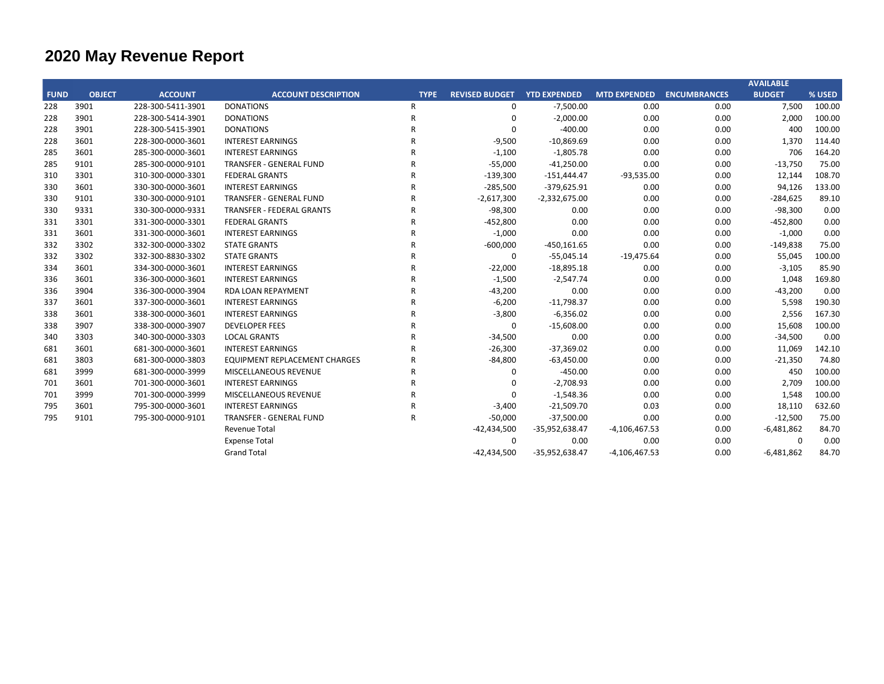|             |               |                   |                                      |              |                       |                     |                     |                     | <b>AVAILABLE</b> |        |
|-------------|---------------|-------------------|--------------------------------------|--------------|-----------------------|---------------------|---------------------|---------------------|------------------|--------|
| <b>FUND</b> | <b>OBJECT</b> | <b>ACCOUNT</b>    | <b>ACCOUNT DESCRIPTION</b>           | <b>TYPE</b>  | <b>REVISED BUDGET</b> | <b>YTD EXPENDED</b> | <b>MTD EXPENDED</b> | <b>ENCUMBRANCES</b> | <b>BUDGET</b>    | % USED |
| 228         | 3901          | 228-300-5411-3901 | <b>DONATIONS</b>                     | R            | 0                     | $-7,500.00$         | 0.00                | 0.00                | 7,500            | 100.00 |
| 228         | 3901          | 228-300-5414-3901 | <b>DONATIONS</b>                     | $\mathsf{R}$ | $\mathbf 0$           | $-2,000.00$         | 0.00                | 0.00                | 2,000            | 100.00 |
| 228         | 3901          | 228-300-5415-3901 | <b>DONATIONS</b>                     | $\mathsf{R}$ | $\Omega$              | $-400.00$           | 0.00                | 0.00                | 400              | 100.00 |
| 228         | 3601          | 228-300-0000-3601 | <b>INTEREST EARNINGS</b>             | $\mathsf{R}$ | $-9,500$              | $-10,869.69$        | 0.00                | 0.00                | 1,370            | 114.40 |
| 285         | 3601          | 285-300-0000-3601 | <b>INTEREST EARNINGS</b>             | $\mathsf{R}$ | $-1,100$              | $-1,805.78$         | 0.00                | 0.00                | 706              | 164.20 |
| 285         | 9101          | 285-300-0000-9101 | <b>TRANSFER - GENERAL FUND</b>       | R            | $-55,000$             | $-41,250.00$        | 0.00                | 0.00                | $-13,750$        | 75.00  |
| 310         | 3301          | 310-300-0000-3301 | <b>FEDERAL GRANTS</b>                | $\mathsf{R}$ | $-139,300$            | $-151,444.47$       | $-93,535.00$        | 0.00                | 12,144           | 108.70 |
| 330         | 3601          | 330-300-0000-3601 | <b>INTEREST EARNINGS</b>             | $\mathsf{R}$ | $-285,500$            | $-379,625.91$       | 0.00                | 0.00                | 94,126           | 133.00 |
| 330         | 9101          | 330-300-0000-9101 | <b>TRANSFER - GENERAL FUND</b>       | $\mathsf{R}$ | $-2,617,300$          | $-2,332,675.00$     | 0.00                | 0.00                | $-284,625$       | 89.10  |
| 330         | 9331          | 330-300-0000-9331 | <b>TRANSFER - FEDERAL GRANTS</b>     | $\mathsf{R}$ | $-98,300$             | 0.00                | 0.00                | 0.00                | $-98,300$        | 0.00   |
| 331         | 3301          | 331-300-0000-3301 | <b>FEDERAL GRANTS</b>                | $\mathsf{R}$ | $-452,800$            | 0.00                | 0.00                | 0.00                | $-452,800$       | 0.00   |
| 331         | 3601          | 331-300-0000-3601 | <b>INTEREST EARNINGS</b>             | R            | $-1,000$              | 0.00                | 0.00                | 0.00                | $-1,000$         | 0.00   |
| 332         | 3302          | 332-300-0000-3302 | <b>STATE GRANTS</b>                  | $\mathsf{R}$ | $-600,000$            | $-450,161.65$       | 0.00                | 0.00                | $-149,838$       | 75.00  |
| 332         | 3302          | 332-300-8830-3302 | <b>STATE GRANTS</b>                  | R            | 0                     | $-55,045.14$        | $-19,475.64$        | 0.00                | 55,045           | 100.00 |
| 334         | 3601          | 334-300-0000-3601 | <b>INTEREST EARNINGS</b>             | R            | $-22,000$             | $-18,895.18$        | 0.00                | 0.00                | $-3,105$         | 85.90  |
| 336         | 3601          | 336-300-0000-3601 | <b>INTEREST EARNINGS</b>             | R            | $-1,500$              | $-2,547.74$         | 0.00                | 0.00                | 1,048            | 169.80 |
| 336         | 3904          | 336-300-0000-3904 | <b>RDA LOAN REPAYMENT</b>            | R            | $-43,200$             | 0.00                | 0.00                | 0.00                | $-43,200$        | 0.00   |
| 337         | 3601          | 337-300-0000-3601 | <b>INTEREST EARNINGS</b>             | $\mathsf{R}$ | $-6,200$              | $-11,798.37$        | 0.00                | 0.00                | 5,598            | 190.30 |
| 338         | 3601          | 338-300-0000-3601 | <b>INTEREST EARNINGS</b>             | R            | $-3,800$              | $-6,356.02$         | 0.00                | 0.00                | 2,556            | 167.30 |
| 338         | 3907          | 338-300-0000-3907 | <b>DEVELOPER FEES</b>                | $\mathsf{R}$ | 0                     | $-15,608.00$        | 0.00                | 0.00                | 15,608           | 100.00 |
| 340         | 3303          | 340-300-0000-3303 | <b>LOCAL GRANTS</b>                  | $\mathsf{R}$ | $-34,500$             | 0.00                | 0.00                | 0.00                | $-34,500$        | 0.00   |
| 681         | 3601          | 681-300-0000-3601 | <b>INTEREST EARNINGS</b>             | R            | $-26,300$             | $-37,369.02$        | 0.00                | 0.00                | 11,069           | 142.10 |
| 681         | 3803          | 681-300-0000-3803 | <b>EQUIPMENT REPLACEMENT CHARGES</b> | R            | $-84,800$             | $-63,450.00$        | 0.00                | 0.00                | $-21,350$        | 74.80  |
| 681         | 3999          | 681-300-0000-3999 | MISCELLANEOUS REVENUE                | R            | 0                     | $-450.00$           | 0.00                | 0.00                | 450              | 100.00 |
| 701         | 3601          | 701-300-0000-3601 | <b>INTEREST EARNINGS</b>             | $\mathsf{R}$ | $\Omega$              | $-2,708.93$         | 0.00                | 0.00                | 2,709            | 100.00 |
| 701         | 3999          | 701-300-0000-3999 | MISCELLANEOUS REVENUE                | $\mathsf{R}$ | $\Omega$              | $-1,548.36$         | 0.00                | 0.00                | 1,548            | 100.00 |
| 795         | 3601          | 795-300-0000-3601 | <b>INTEREST EARNINGS</b>             | R            | $-3,400$              | $-21,509.70$        | 0.03                | 0.00                | 18,110           | 632.60 |
| 795         | 9101          | 795-300-0000-9101 | <b>TRANSFER - GENERAL FUND</b>       | $\mathsf{R}$ | $-50,000$             | $-37,500.00$        | 0.00                | 0.00                | $-12,500$        | 75.00  |
|             |               |                   | Revenue Total                        |              | $-42,434,500$         | -35,952,638.47      | $-4,106,467.53$     | 0.00                | $-6,481,862$     | 84.70  |
|             |               |                   | <b>Expense Total</b>                 |              | 0                     | 0.00                | 0.00                | 0.00                | $\Omega$         | 0.00   |
|             |               |                   | <b>Grand Total</b>                   |              | $-42,434,500$         | -35,952,638.47      | $-4,106,467.53$     | 0.00                | $-6,481,862$     | 84.70  |
|             |               |                   |                                      |              |                       |                     |                     |                     |                  |        |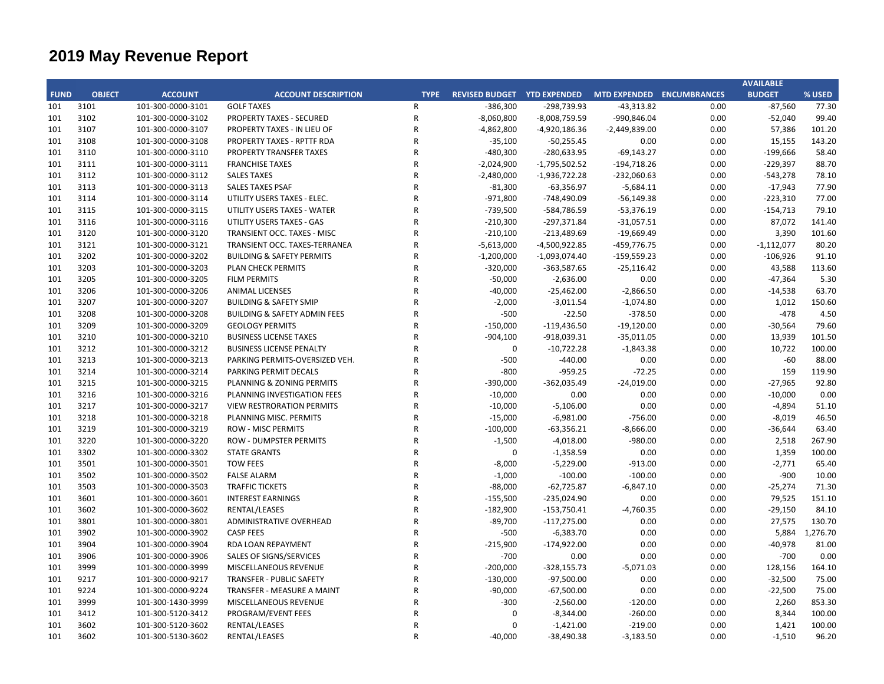|             |               |                   |                                         |                |                                    |                 |                                  |      | <b>AVAILABLE</b> |          |
|-------------|---------------|-------------------|-----------------------------------------|----------------|------------------------------------|-----------------|----------------------------------|------|------------------|----------|
| <b>FUND</b> | <b>OBJECT</b> | <b>ACCOUNT</b>    | <b>ACCOUNT DESCRIPTION</b>              | <b>TYPE</b>    | <b>REVISED BUDGET YTD EXPENDED</b> |                 | <b>MTD EXPENDED ENCUMBRANCES</b> |      | <b>BUDGET</b>    | % USED   |
| 101         | 3101          | 101-300-0000-3101 | <b>GOLF TAXES</b>                       | $\mathsf{R}$   | $-386,300$                         | $-298,739.93$   | $-43,313.82$                     | 0.00 | $-87,560$        | 77.30    |
| 101         | 3102          | 101-300-0000-3102 | <b>PROPERTY TAXES - SECURED</b>         | ${\sf R}$      | $-8,060,800$                       | $-8,008,759.59$ | -990,846.04                      | 0.00 | $-52,040$        | 99.40    |
| 101         | 3107          | 101-300-0000-3107 | PROPERTY TAXES - IN LIEU OF             | ${\sf R}$      | $-4,862,800$                       | -4,920,186.36   | $-2,449,839.00$                  | 0.00 | 57,386           | 101.20   |
| 101         | 3108          | 101-300-0000-3108 | <b>PROPERTY TAXES - RPTTF RDA</b>       | $\overline{R}$ | $-35,100$                          | $-50,255.45$    | 0.00                             | 0.00 | 15,155           | 143.20   |
| 101         | 3110          | 101-300-0000-3110 | <b>PROPERTY TRANSFER TAXES</b>          | $\mathsf{R}$   | -480,300                           | $-280,633.95$   | $-69,143.27$                     | 0.00 | $-199,666$       | 58.40    |
| 101         | 3111          | 101-300-0000-3111 | <b>FRANCHISE TAXES</b>                  | $\mathsf{R}$   | -2,024,900                         | $-1,795,502.52$ | $-194,718.26$                    | 0.00 | $-229,397$       | 88.70    |
| 101         | 3112          | 101-300-0000-3112 | <b>SALES TAXES</b>                      | $\mathsf{R}$   | -2,480,000                         | $-1,936,722.28$ | $-232,060.63$                    | 0.00 | $-543,278$       | 78.10    |
| 101         | 3113          | 101-300-0000-3113 | <b>SALES TAXES PSAF</b>                 | $\mathsf{R}$   | $-81,300$                          | $-63,356.97$    | $-5,684.11$                      | 0.00 | $-17,943$        | 77.90    |
| 101         | 3114          | 101-300-0000-3114 | UTILITY USERS TAXES - ELEC.             | $\mathsf{R}$   | $-971,800$                         | -748,490.09     | $-56,149.38$                     | 0.00 | $-223,310$       | 77.00    |
| 101         | 3115          | 101-300-0000-3115 | UTILITY USERS TAXES - WATER             | $\mathsf{R}$   | $-739,500$                         | -584,786.59     | $-53,376.19$                     | 0.00 | $-154,713$       | 79.10    |
| 101         | 3116          | 101-300-0000-3116 | UTILITY USERS TAXES - GAS               | $\mathsf{R}$   | $-210,300$                         | $-297,371.84$   | $-31,057.51$                     | 0.00 | 87,072           | 141.40   |
| 101         | 3120          | 101-300-0000-3120 | TRANSIENT OCC. TAXES - MISC             | $\mathsf{R}$   | $-210,100$                         | $-213,489.69$   | $-19,669.49$                     | 0.00 | 3,390            | 101.60   |
| 101         | 3121          | 101-300-0000-3121 | TRANSIENT OCC. TAXES-TERRANEA           | $\mathsf{R}$   | $-5,613,000$                       | -4,500,922.85   | $-459,776.75$                    | 0.00 | $-1,112,077$     | 80.20    |
| 101         | 3202          | 101-300-0000-3202 | <b>BUILDING &amp; SAFETY PERMITS</b>    | ${\sf R}$      | $-1,200,000$                       | $-1,093,074.40$ | $-159,559.23$                    | 0.00 | $-106,926$       | 91.10    |
| 101         | 3203          | 101-300-0000-3203 | PLAN CHECK PERMITS                      | $\mathsf{R}$   | $-320,000$                         | $-363,587.65$   | $-25,116.42$                     | 0.00 | 43,588           | 113.60   |
| 101         | 3205          | 101-300-0000-3205 | <b>FILM PERMITS</b>                     | $\mathsf{R}$   | $-50,000$                          | $-2,636.00$     | 0.00                             | 0.00 | $-47,364$        | 5.30     |
| 101         | 3206          | 101-300-0000-3206 | <b>ANIMAL LICENSES</b>                  | $\mathsf{R}$   | $-40,000$                          | $-25,462.00$    | $-2,866.50$                      | 0.00 | $-14,538$        | 63.70    |
| 101         | 3207          | 101-300-0000-3207 | <b>BUILDING &amp; SAFETY SMIP</b>       | $\mathsf{R}$   | $-2,000$                           | $-3,011.54$     | $-1,074.80$                      | 0.00 | 1,012            | 150.60   |
| 101         | 3208          | 101-300-0000-3208 | <b>BUILDING &amp; SAFETY ADMIN FEES</b> | $\mathsf{R}$   | $-500$                             | $-22.50$        | $-378.50$                        | 0.00 | $-478$           | 4.50     |
| 101         | 3209          | 101-300-0000-3209 | <b>GEOLOGY PERMITS</b>                  | $\mathsf{R}$   | $-150,000$                         | $-119,436.50$   | $-19,120.00$                     | 0.00 | $-30,564$        | 79.60    |
| 101         | 3210          | 101-300-0000-3210 | <b>BUSINESS LICENSE TAXES</b>           | $\mathsf{R}$   | $-904,100$                         | -918,039.31     | $-35,011.05$                     | 0.00 | 13,939           | 101.50   |
| 101         | 3212          | 101-300-0000-3212 | <b>BUSINESS LICENSE PENALTY</b>         | $\mathsf{R}$   | $\mathbf 0$                        | $-10,722.28$    | $-1,843.38$                      | 0.00 | 10,722           | 100.00   |
| 101         | 3213          | 101-300-0000-3213 | PARKING PERMITS-OVERSIZED VEH.          | $\mathsf{R}$   | $-500$                             | $-440.00$       | 0.00                             | 0.00 | -60              | 88.00    |
| 101         | 3214          | 101-300-0000-3214 | PARKING PERMIT DECALS                   | $\mathsf{R}$   | $-800$                             | $-959.25$       | $-72.25$                         | 0.00 | 159              | 119.90   |
| 101         | 3215          | 101-300-0000-3215 | PLANNING & ZONING PERMITS               | $\mathsf{R}$   | $-390,000$                         | $-362,035.49$   | $-24,019.00$                     | 0.00 | $-27,965$        | 92.80    |
| 101         | 3216          | 101-300-0000-3216 | PLANNING INVESTIGATION FEES             | $\mathsf{R}$   | $-10,000$                          | 0.00            | 0.00                             | 0.00 | $-10,000$        | 0.00     |
| 101         | 3217          | 101-300-0000-3217 | <b>VIEW RESTRORATION PERMITS</b>        | $\mathsf{R}$   | $-10,000$                          | $-5,106.00$     | 0.00                             | 0.00 | $-4,894$         | 51.10    |
| 101         | 3218          | 101-300-0000-3218 | PLANNING MISC. PERMITS                  | $\mathsf{R}$   | $-15,000$                          | $-6,981.00$     | $-756.00$                        | 0.00 | $-8,019$         | 46.50    |
| 101         | 3219          | 101-300-0000-3219 | <b>ROW - MISC PERMITS</b>               | $\mathsf{R}$   | $-100,000$                         | $-63,356.21$    | $-8,666.00$                      | 0.00 | $-36,644$        | 63.40    |
| 101         | 3220          | 101-300-0000-3220 | <b>ROW - DUMPSTER PERMITS</b>           | $\mathsf{R}$   | $-1,500$                           | $-4,018.00$     | $-980.00$                        | 0.00 | 2,518            | 267.90   |
| 101         | 3302          | 101-300-0000-3302 | <b>STATE GRANTS</b>                     | ${\sf R}$      | $\mathbf 0$                        | $-1,358.59$     | 0.00                             | 0.00 | 1,359            | 100.00   |
| 101         | 3501          | 101-300-0000-3501 | <b>TOW FEES</b>                         | $\mathsf{R}$   | $-8,000$                           | $-5,229.00$     | $-913.00$                        | 0.00 | $-2,771$         | 65.40    |
| 101         | 3502          | 101-300-0000-3502 | <b>FALSE ALARM</b>                      | $\mathsf{R}$   | $-1,000$                           | $-100.00$       | $-100.00$                        | 0.00 | $-900$           | 10.00    |
| 101         | 3503          | 101-300-0000-3503 | <b>TRAFFIC TICKETS</b>                  | $\mathsf{R}$   | $-88,000$                          | $-62,725.87$    | $-6,847.10$                      | 0.00 | $-25,274$        | 71.30    |
| 101         | 3601          | 101-300-0000-3601 | <b>INTEREST EARNINGS</b>                | $\mathsf{R}$   | $-155,500$                         | $-235,024.90$   | 0.00                             | 0.00 | 79,525           | 151.10   |
| 101         | 3602          | 101-300-0000-3602 | RENTAL/LEASES                           | $\mathsf{R}$   | $-182,900$                         | $-153,750.41$   | $-4,760.35$                      | 0.00 | $-29,150$        | 84.10    |
| 101         | 3801          | 101-300-0000-3801 | <b>ADMINISTRATIVE OVERHEAD</b>          | $\mathsf{R}$   | $-89,700$                          | $-117,275.00$   | 0.00                             | 0.00 | 27,575           | 130.70   |
| 101         | 3902          | 101-300-0000-3902 | <b>CASP FEES</b>                        | $\mathsf{R}$   | $-500$                             | $-6,383.70$     | 0.00                             | 0.00 | 5,884            | 1,276.70 |
| 101         | 3904          | 101-300-0000-3904 | RDA LOAN REPAYMENT                      | $\mathsf{R}$   | $-215,900$                         | $-174,922.00$   | 0.00                             | 0.00 | $-40,978$        | 81.00    |
| 101         | 3906          | 101-300-0000-3906 | <b>SALES OF SIGNS/SERVICES</b>          | $\mathsf{R}$   | $-700$                             | 0.00            | 0.00                             | 0.00 | $-700$           | 0.00     |
| 101         | 3999          | 101-300-0000-3999 | MISCELLANEOUS REVENUE                   | $\mathsf{R}$   | $-200,000$                         | $-328,155.73$   | $-5,071.03$                      | 0.00 | 128,156          | 164.10   |
| 101         | 9217          | 101-300-0000-9217 | <b>TRANSFER - PUBLIC SAFETY</b>         | $\mathsf{R}$   | $-130,000$                         | $-97,500.00$    | 0.00                             | 0.00 | $-32,500$        | 75.00    |
| 101         | 9224          | 101-300-0000-9224 | TRANSFER - MEASURE A MAINT              | $\mathsf{R}$   | $-90,000$                          | $-67,500.00$    | 0.00                             | 0.00 | $-22,500$        | 75.00    |
| 101         | 3999          | 101-300-1430-3999 | MISCELLANEOUS REVENUE                   | R              | $-300$                             | $-2,560.00$     | $-120.00$                        | 0.00 | 2,260            | 853.30   |
| 101         | 3412          | 101-300-5120-3412 | PROGRAM/EVENT FEES                      | $\mathsf{R}$   | $\mathbf 0$                        | $-8,344.00$     | $-260.00$                        | 0.00 | 8,344            | 100.00   |
| 101         | 3602          | 101-300-5120-3602 | RENTAL/LEASES                           | $\mathsf{R}$   | $\mathbf 0$                        | $-1,421.00$     | $-219.00$                        | 0.00 | 1,421            | 100.00   |
| 101         | 3602          | 101-300-5130-3602 | RENTAL/LEASES                           | $\mathsf{R}$   | $-40,000$                          | $-38,490.38$    | $-3,183.50$                      | 0.00 | $-1,510$         | 96.20    |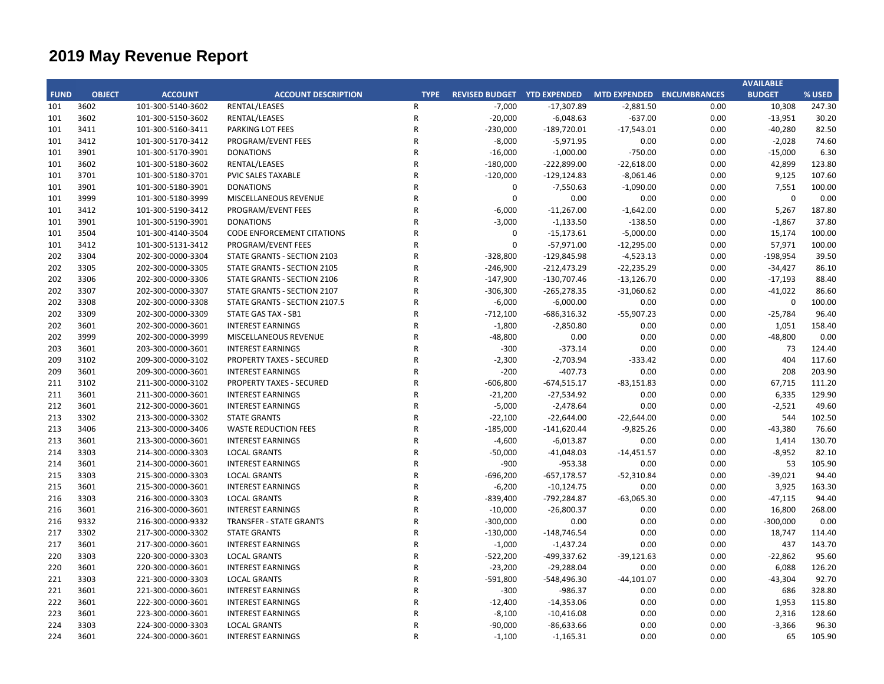|             |               |                   |                                   |                |                                                       |                |              |      | <b>AVAILABLE</b> |        |
|-------------|---------------|-------------------|-----------------------------------|----------------|-------------------------------------------------------|----------------|--------------|------|------------------|--------|
| <b>FUND</b> | <b>OBJECT</b> | <b>ACCOUNT</b>    | <b>ACCOUNT DESCRIPTION</b>        | <b>TYPE</b>    | REVISED BUDGET YTD EXPENDED MTD EXPENDED ENCUMBRANCES |                |              |      | <b>BUDGET</b>    | % USED |
| 101         | 3602          | 101-300-5140-3602 | RENTAL/LEASES                     | R              | $-7,000$                                              | $-17,307.89$   | $-2,881.50$  | 0.00 | 10,308           | 247.30 |
| 101         | 3602          | 101-300-5150-3602 | RENTAL/LEASES                     | ${\sf R}$      | $-20,000$                                             | $-6,048.63$    | $-637.00$    | 0.00 | $-13,951$        | 30.20  |
| 101         | 3411          | 101-300-5160-3411 | PARKING LOT FEES                  | $\mathsf{R}$   | $-230,000$                                            | $-189,720.01$  | $-17,543.01$ | 0.00 | $-40,280$        | 82.50  |
| 101         | 3412          | 101-300-5170-3412 | PROGRAM/EVENT FEES                | $\mathsf{R}$   | $-8,000$                                              | $-5,971.95$    | 0.00         | 0.00 | $-2,028$         | 74.60  |
| 101         | 3901          | 101-300-5170-3901 | <b>DONATIONS</b>                  | $\mathsf{R}$   | $-16,000$                                             | $-1,000.00$    | $-750.00$    | 0.00 | $-15,000$        | 6.30   |
| 101         | 3602          | 101-300-5180-3602 | RENTAL/LEASES                     | $\mathsf{R}$   | $-180,000$                                            | $-222,899.00$  | $-22,618.00$ | 0.00 | 42,899           | 123.80 |
| 101         | 3701          | 101-300-5180-3701 | PVIC SALES TAXABLE                | R              | $-120,000$                                            | $-129, 124.83$ | $-8,061.46$  | 0.00 | 9,125            | 107.60 |
| 101         | 3901          | 101-300-5180-3901 | <b>DONATIONS</b>                  | $\mathsf{R}$   | $\pmb{0}$                                             | $-7,550.63$    | $-1,090.00$  | 0.00 | 7,551            | 100.00 |
| 101         | 3999          | 101-300-5180-3999 | MISCELLANEOUS REVENUE             | R              | $\Omega$                                              | 0.00           | 0.00         | 0.00 | $\mathbf 0$      | 0.00   |
| 101         | 3412          | 101-300-5190-3412 | PROGRAM/EVENT FEES                | R              | $-6,000$                                              | $-11,267.00$   | $-1,642.00$  | 0.00 | 5,267            | 187.80 |
| 101         | 3901          | 101-300-5190-3901 | <b>DONATIONS</b>                  | R              | $-3,000$                                              | $-1,133.50$    | $-138.50$    | 0.00 | $-1,867$         | 37.80  |
| 101         | 3504          | 101-300-4140-3504 | <b>CODE ENFORCEMENT CITATIONS</b> | R              | 0                                                     | $-15,173.61$   | $-5,000.00$  | 0.00 | 15,174           | 100.00 |
| 101         | 3412          | 101-300-5131-3412 | PROGRAM/EVENT FEES                | R              | $\mathbf 0$                                           | $-57,971.00$   | $-12,295.00$ | 0.00 | 57,971           | 100.00 |
| 202         | 3304          | 202-300-0000-3304 | STATE GRANTS - SECTION 2103       | R              | $-328,800$                                            | $-129,845.98$  | $-4,523.13$  | 0.00 | $-198,954$       | 39.50  |
| 202         | 3305          | 202-300-0000-3305 | STATE GRANTS - SECTION 2105       | R              | $-246,900$                                            | $-212,473.29$  | $-22,235.29$ | 0.00 | $-34,427$        | 86.10  |
| 202         | 3306          | 202-300-0000-3306 | STATE GRANTS - SECTION 2106       | R              | $-147,900$                                            | $-130,707.46$  | $-13,126.70$ | 0.00 | $-17,193$        | 88.40  |
| 202         | 3307          | 202-300-0000-3307 | STATE GRANTS - SECTION 2107       | R              | $-306,300$                                            | $-265,278.35$  | $-31,060.62$ | 0.00 | $-41,022$        | 86.60  |
| 202         | 3308          | 202-300-0000-3308 | STATE GRANTS - SECTION 2107.5     | R              | $-6,000$                                              | $-6,000.00$    | 0.00         | 0.00 | $\mathbf 0$      | 100.00 |
| 202         | 3309          | 202-300-0000-3309 | STATE GAS TAX - SB1               | R              | $-712,100$                                            | $-686,316.32$  | $-55,907.23$ | 0.00 | $-25,784$        | 96.40  |
| 202         | 3601          | 202-300-0000-3601 | <b>INTEREST EARNINGS</b>          | R              | $-1,800$                                              | $-2,850.80$    | 0.00         | 0.00 | 1,051            | 158.40 |
| 202         | 3999          | 202-300-0000-3999 | MISCELLANEOUS REVENUE             | R              | $-48,800$                                             | 0.00           | 0.00         | 0.00 | $-48,800$        | 0.00   |
| 203         | 3601          | 203-300-0000-3601 | <b>INTEREST EARNINGS</b>          | R              | $-300$                                                | $-373.14$      | 0.00         | 0.00 | 73               | 124.40 |
| 209         | 3102          | 209-300-0000-3102 | <b>PROPERTY TAXES - SECURED</b>   | R              | $-2,300$                                              | $-2,703.94$    | $-333.42$    | 0.00 | 404              | 117.60 |
| 209         | 3601          | 209-300-0000-3601 | <b>INTEREST EARNINGS</b>          | R              | $-200$                                                | $-407.73$      | 0.00         | 0.00 | 208              | 203.90 |
| 211         | 3102          | 211-300-0000-3102 | <b>PROPERTY TAXES - SECURED</b>   | R              | $-606,800$                                            | $-674,515.17$  | $-83,151.83$ | 0.00 | 67,715           | 111.20 |
| 211         | 3601          | 211-300-0000-3601 | <b>INTEREST EARNINGS</b>          | R              | $-21,200$                                             | $-27,534.92$   | 0.00         | 0.00 | 6,335            | 129.90 |
| 212         | 3601          | 212-300-0000-3601 | <b>INTEREST EARNINGS</b>          | R              | $-5,000$                                              | $-2,478.64$    | 0.00         | 0.00 | $-2,521$         | 49.60  |
| 213         | 3302          | 213-300-0000-3302 | <b>STATE GRANTS</b>               | R              | $-22,100$                                             | $-22,644.00$   | $-22,644.00$ | 0.00 | 544              | 102.50 |
| 213         | 3406          | 213-300-0000-3406 | <b>WASTE REDUCTION FEES</b>       | R              | $-185,000$                                            | $-141,620.44$  | $-9,825.26$  | 0.00 | $-43,380$        | 76.60  |
| 213         | 3601          | 213-300-0000-3601 | <b>INTEREST EARNINGS</b>          | R              | $-4,600$                                              | $-6,013.87$    | 0.00         | 0.00 | 1,414            | 130.70 |
| 214         | 3303          | 214-300-0000-3303 | <b>LOCAL GRANTS</b>               | R              | $-50,000$                                             | $-41,048.03$   | $-14,451.57$ | 0.00 | $-8,952$         | 82.10  |
| 214         | 3601          | 214-300-0000-3601 | <b>INTEREST EARNINGS</b>          | R              | $-900$                                                | $-953.38$      | 0.00         | 0.00 | 53               | 105.90 |
| 215         | 3303          | 215-300-0000-3303 | <b>LOCAL GRANTS</b>               | R              | $-696,200$                                            | $-657,178.57$  | $-52,310.84$ | 0.00 | $-39,021$        | 94.40  |
| 215         | 3601          | 215-300-0000-3601 | <b>INTEREST EARNINGS</b>          | R              | $-6,200$                                              | $-10,124.75$   | 0.00         | 0.00 | 3,925            | 163.30 |
| 216         | 3303          | 216-300-0000-3303 | <b>LOCAL GRANTS</b>               | R              | $-839,400$                                            | $-792,284.87$  | $-63,065.30$ | 0.00 | $-47,115$        | 94.40  |
| 216         | 3601          | 216-300-0000-3601 | <b>INTEREST EARNINGS</b>          | $\overline{R}$ | $-10,000$                                             | $-26,800.37$   | 0.00         | 0.00 | 16,800           | 268.00 |
| 216         | 9332          | 216-300-0000-9332 | <b>TRANSFER - STATE GRANTS</b>    | $\mathsf{R}$   | $-300,000$                                            | 0.00           | 0.00         | 0.00 | $-300,000$       | 0.00   |
| 217         | 3302          | 217-300-0000-3302 | <b>STATE GRANTS</b>               | R              | $-130,000$                                            | $-148,746.54$  | 0.00         | 0.00 | 18,747           | 114.40 |
| 217         | 3601          | 217-300-0000-3601 | <b>INTEREST EARNINGS</b>          | $\overline{R}$ | $-1,000$                                              | $-1,437.24$    | 0.00         | 0.00 | 437              | 143.70 |
| 220         | 3303          | 220-300-0000-3303 | <b>LOCAL GRANTS</b>               | R              | $-522,200$                                            | -499,337.62    | $-39,121.63$ | 0.00 | $-22,862$        | 95.60  |
| 220         | 3601          | 220-300-0000-3601 | <b>INTEREST EARNINGS</b>          | R              | $-23,200$                                             | $-29,288.04$   | 0.00         | 0.00 | 6,088            | 126.20 |
| 221         | 3303          | 221-300-0000-3303 | <b>LOCAL GRANTS</b>               | R              | $-591,800$                                            | -548,496.30    | $-44,101.07$ | 0.00 | $-43,304$        | 92.70  |
| 221         | 3601          | 221-300-0000-3601 | <b>INTEREST EARNINGS</b>          | R              | $-300$                                                | $-986.37$      | 0.00         | 0.00 | 686              | 328.80 |
| 222         | 3601          | 222-300-0000-3601 | <b>INTEREST EARNINGS</b>          | $\mathsf{R}$   | $-12,400$                                             | $-14,353.06$   | 0.00         | 0.00 | 1,953            | 115.80 |
| 223         | 3601          | 223-300-0000-3601 | <b>INTEREST EARNINGS</b>          | $\mathsf{R}$   | $-8,100$                                              | $-10,416.08$   | 0.00         | 0.00 | 2,316            | 128.60 |
| 224         | 3303          | 224-300-0000-3303 | <b>LOCAL GRANTS</b>               | $\mathsf{R}$   | $-90,000$                                             | $-86,633.66$   | 0.00         | 0.00 | $-3,366$         | 96.30  |
| 224         | 3601          | 224-300-0000-3601 | <b>INTEREST EARNINGS</b>          | R              | $-1,100$                                              | $-1,165.31$    | 0.00         | 0.00 | 65               | 105.90 |
|             |               |                   |                                   |                |                                                       |                |              |      |                  |        |